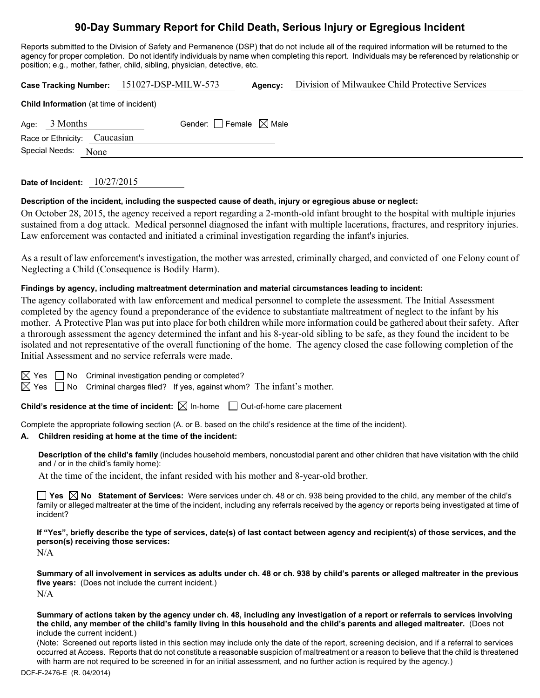# **90-Day Summary Report for Child Death, Serious Injury or Egregious Incident**

Reports submitted to the Division of Safety and Permanence (DSP) that do not include all of the required information will be returned to the agency for proper completion. Do not identify individuals by name when completing this report. Individuals may be referenced by relationship or position; e.g., mother, father, child, sibling, physician, detective, etc.

**Case Tracking Number:** 151027-DSP-MILW-573 Agency: Division of Milwaukee Child Protective Services

| <b>Child Information</b> (at time of incident) |                 |                                 |  |  |  |  |
|------------------------------------------------|-----------------|---------------------------------|--|--|--|--|
|                                                | Age: $3$ Months | Gender: Female $\boxtimes$ Male |  |  |  |  |
| Race or Ethnicity: Caucasian                   |                 |                                 |  |  |  |  |
| Special Needs: None                            |                 |                                 |  |  |  |  |
|                                                |                 |                                 |  |  |  |  |

## **Date of Incident:** 10/27/2015

## **Description of the incident, including the suspected cause of death, injury or egregious abuse or neglect:**

On October 28, 2015, the agency received a report regarding a 2-month-old infant brought to the hospital with multiple injuries sustained from a dog attack. Medical personnel diagnosed the infant with multiple lacerations, fractures, and respritory injuries. Law enforcement was contacted and initiated a criminal investigation regarding the infant's injuries.

As a result of law enforcement's investigation, the mother was arrested, criminally charged, and convicted of one Felony count of Neglecting a Child (Consequence is Bodily Harm).

### **Findings by agency, including maltreatment determination and material circumstances leading to incident:**

The agency collaborated with law enforcement and medical personnel to complete the assessment. The Initial Assessment completed by the agency found a preponderance of the evidence to substantiate maltreatment of neglect to the infant by his mother. A Protective Plan was put into place for both children while more information could be gathered about their safety. After a throrough assessment the agency determined the infant and his 8-year-old sibling to be safe, as they found the incident to be isolated and not representative of the overall functioning of the home. The agency closed the case following completion of the Initial Assessment and no service referrals were made.

| × |
|---|
|   |

 $\Box$  No Criminal investigation pending or completed?

 $\boxtimes$  Yes  $\Box$  No Criminal charges filed? If yes, against whom? The infant's mother.

**Child's residence at the time of incident:**  $\boxtimes$  In-home  $\Box$  Out-of-home care placement

Complete the appropriate following section (A. or B. based on the child's residence at the time of the incident).

### **A. Children residing at home at the time of the incident:**

**Description of the child's family** (includes household members, noncustodial parent and other children that have visitation with the child and / or in the child's family home):

At the time of the incident, the infant resided with his mother and 8-year-old brother.

**Yes No Statement of Services:** Were services under ch. 48 or ch. 938 being provided to the child, any member of the child's family or alleged maltreater at the time of the incident, including any referrals received by the agency or reports being investigated at time of incident?

**If "Yes", briefly describe the type of services, date(s) of last contact between agency and recipient(s) of those services, and the person(s) receiving those services:** 

N/A

**Summary of all involvement in services as adults under ch. 48 or ch. 938 by child's parents or alleged maltreater in the previous five years:** (Does not include the current incident.)  $N/A$ 

**Summary of actions taken by the agency under ch. 48, including any investigation of a report or referrals to services involving the child, any member of the child's family living in this household and the child's parents and alleged maltreater.** (Does not include the current incident.)

(Note: Screened out reports listed in this section may include only the date of the report, screening decision, and if a referral to services occurred at Access. Reports that do not constitute a reasonable suspicion of maltreatment or a reason to believe that the child is threatened with harm are not required to be screened in for an initial assessment, and no further action is required by the agency.)